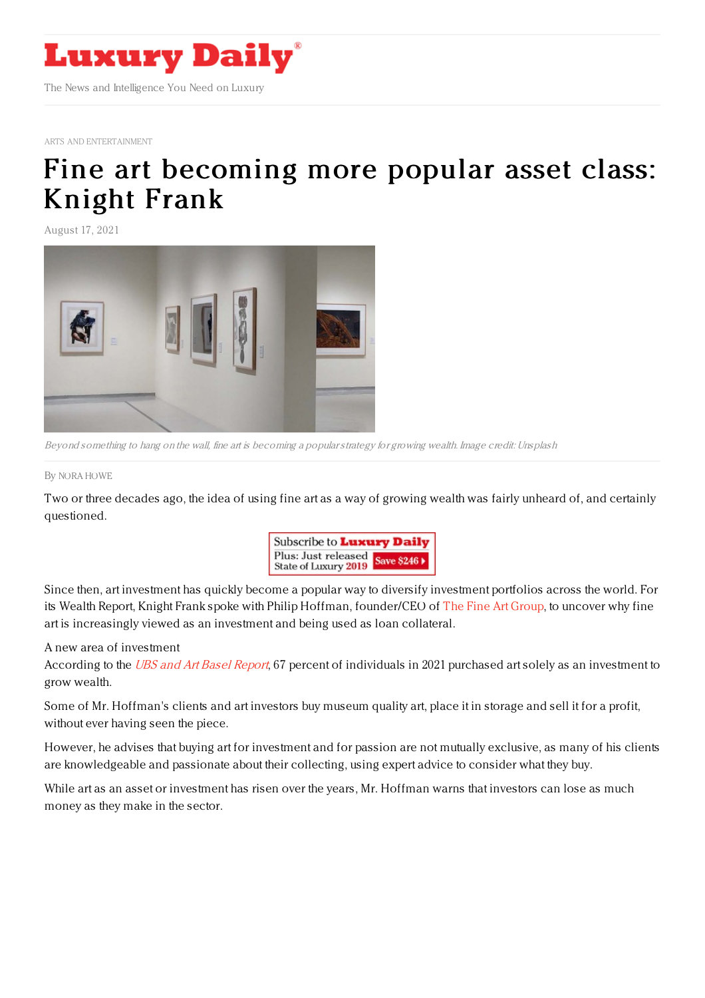

ARTS AND [ENTERTAINMENT](https://www.luxurydaily.com/category/sectors/arts-and-entertainment/)

## Fine art [becoming](https://www.luxurydaily.com/fine-art-investment-knight-frank/) more popular asset class: Knight Frank

August 17, 2021



Beyond something to hang on the wall, fine art is becoming <sup>a</sup> popularstrategy for growing wealth. Image credit: Unsplash

By NORA [HOWE](file:///author/nora-howe)

Two or three decades ago, the idea of using fine art as a way of growing wealth was fairly unheard of, and certainly questioned.



Since then, art investment has quickly become a popular way to diversify investment portfolios across the world. For its Wealth Report, Knight Frank spoke with Philip Hoffman, founder/CEO of The Fine Art [Group](https://www.fineartgroup.com/en/), to uncover why fine art is increasingly viewed as an investment and being used as loan collateral.

A new area of investment

According to the UBS and Art Basel [Report](https://artbasel.com/about/initiatives/the-art-market), 67 percent of individuals in 2021 purchased art solely as an investment to grow wealth.

Some of Mr. Hoffman's clients and art investors buy museum quality art, place it in storage and sell it for a profit, without ever having seen the piece.

However, he advises that buying art for investment and for passion are not mutually exclusive, as many of his clients are knowledgeable and passionate about their collecting, using expert advice to consider what they buy.

While art as an asset or investment has risen over the years, Mr. Hoffman warns that investors can lose as much money as they make in the sector.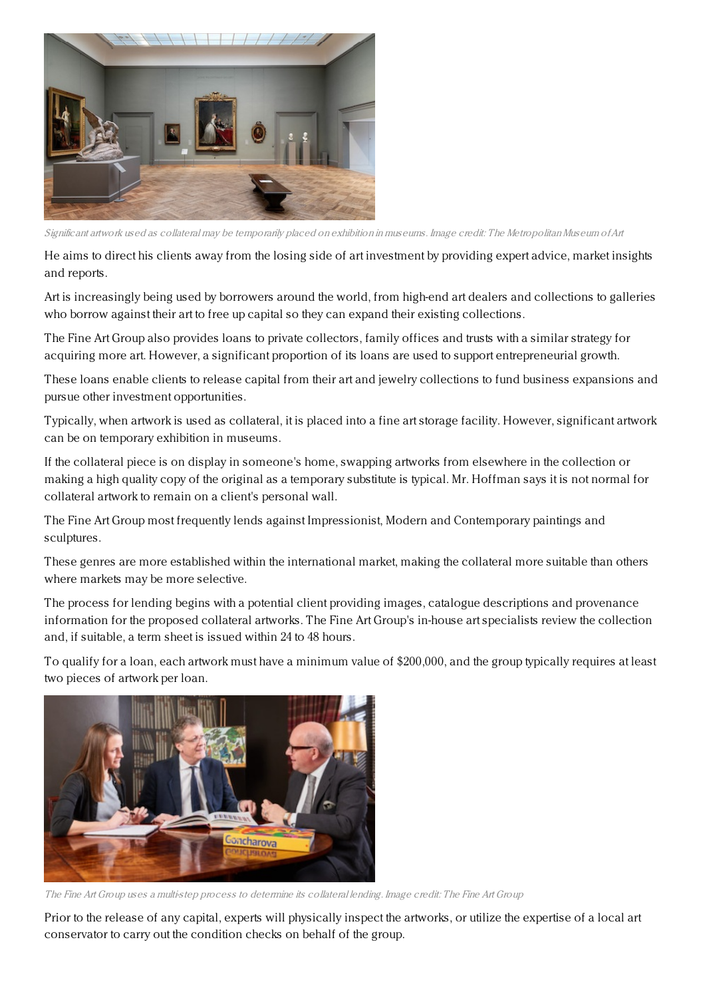

Significant artwork used as collateral may be temporarily placed on exhibition in museums. Image credit: The MetropolitanMuseum ofArt

He aims to direct his clients away from the losing side of art investment by providing expert advice, market insights and reports.

Art is increasingly being used by borrowers around the world, from high-end art dealers and collections to galleries who borrow against their art to free up capital so they can expand their existing collections.

The Fine Art Group also provides loans to private collectors, family offices and trusts with a similar strategy for acquiring more art. However, a significant proportion of its loans are used to support entrepreneurial growth.

These loans enable clients to release capital from their art and jewelry collections to fund business expansions and pursue other investment opportunities.

Typically, when artwork is used as collateral, it is placed into a fine art storage facility. However, significant artwork can be on temporary exhibition in museums.

If the collateral piece is on display in someone's home, swapping artworks from elsewhere in the collection or making a high quality copy of the original as a temporary substitute is typical. Mr. Hoffman says it is not normal for collateral artwork to remain on a client's personal wall.

The Fine Art Group most frequently lends against Impressionist, Modern and Contemporary paintings and sculptures.

These genres are more established within the international market, making the collateral more suitable than others where markets may be more selective.

The process for lending begins with a potential client providing images, catalogue descriptions and provenance information for the proposed collateral artworks. The Fine Art Group's in-house art specialists review the collection and, if suitable, a term sheet is issued within 24 to 48 hours.

To qualify for a loan, each artwork must have a minimum value of \$200,000, and the group typically requires at least two pieces of artwork per loan.



The Fine Art Group uses <sup>a</sup> multi-step process to determine its collateral lending. Image credit: The Fine Art Group

Prior to the release of any capital, experts will physically inspect the artworks, or utilize the expertise of a local art conservator to carry out the condition checks on behalf of the group.